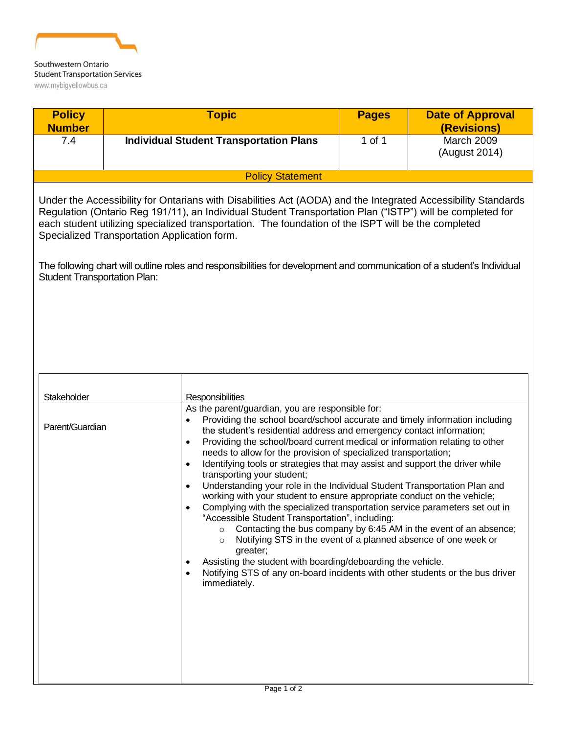

| <b>Policy</b><br><b>Number</b>                                                                                                                                                                                                                                                                                                                                                                                                                                                                                                                      |  | <b>Topic</b>                                                                                                                                                                                                                                                                                                                                                                                                                                                                                                                                                                                                                                                                                                                                                                                                                                                                                                                                                                                                                                                                                     | <b>Pages</b> | <b>Date of Approval</b><br>(Revisions)                            |
|-----------------------------------------------------------------------------------------------------------------------------------------------------------------------------------------------------------------------------------------------------------------------------------------------------------------------------------------------------------------------------------------------------------------------------------------------------------------------------------------------------------------------------------------------------|--|--------------------------------------------------------------------------------------------------------------------------------------------------------------------------------------------------------------------------------------------------------------------------------------------------------------------------------------------------------------------------------------------------------------------------------------------------------------------------------------------------------------------------------------------------------------------------------------------------------------------------------------------------------------------------------------------------------------------------------------------------------------------------------------------------------------------------------------------------------------------------------------------------------------------------------------------------------------------------------------------------------------------------------------------------------------------------------------------------|--------------|-------------------------------------------------------------------|
| 7.4                                                                                                                                                                                                                                                                                                                                                                                                                                                                                                                                                 |  | <b>Individual Student Transportation Plans</b>                                                                                                                                                                                                                                                                                                                                                                                                                                                                                                                                                                                                                                                                                                                                                                                                                                                                                                                                                                                                                                                   | 1 of 1       | <b>March 2009</b><br>(August 2014)                                |
|                                                                                                                                                                                                                                                                                                                                                                                                                                                                                                                                                     |  | <b>Policy Statement</b>                                                                                                                                                                                                                                                                                                                                                                                                                                                                                                                                                                                                                                                                                                                                                                                                                                                                                                                                                                                                                                                                          |              |                                                                   |
| Under the Accessibility for Ontarians with Disabilities Act (AODA) and the Integrated Accessibility Standards<br>Regulation (Ontario Reg 191/11), an Individual Student Transportation Plan ("ISTP") will be completed for<br>each student utilizing specialized transportation. The foundation of the ISPT will be the completed<br>Specialized Transportation Application form.<br>The following chart will outline roles and responsibilities for development and communication of a student's Individual<br><b>Student Transportation Plan:</b> |  |                                                                                                                                                                                                                                                                                                                                                                                                                                                                                                                                                                                                                                                                                                                                                                                                                                                                                                                                                                                                                                                                                                  |              |                                                                   |
| Stakeholder<br>Parent/Guardian                                                                                                                                                                                                                                                                                                                                                                                                                                                                                                                      |  | Responsibilities<br>As the parent/guardian, you are responsible for:<br>Providing the school board/school accurate and timely information including<br>the student's residential address and emergency contact information;<br>Providing the school/board current medical or information relating to other<br>$\bullet$<br>needs to allow for the provision of specialized transportation;<br>Identifying tools or strategies that may assist and support the driver while<br>$\bullet$<br>transporting your student;<br>Understanding your role in the Individual Student Transportation Plan and<br>$\bullet$<br>working with your student to ensure appropriate conduct on the vehicle;<br>Complying with the specialized transportation service parameters set out in<br>"Accessible Student Transportation", including:<br>$\circ$<br>Notifying STS in the event of a planned absence of one week or<br>$\circ$<br>greater;<br>Assisting the student with boarding/deboarding the vehicle.<br>Notifying STS of any on-board incidents with other students or the bus driver<br>immediately. |              | Contacting the bus company by 6:45 AM in the event of an absence; |